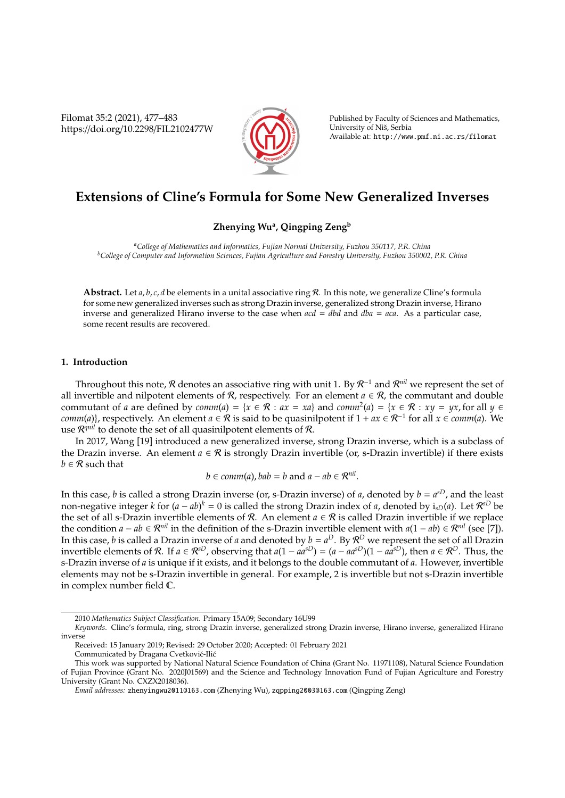Filomat 35:2 (2021), 477–483 https://doi.org/10.2298/FIL2102477W



Published by Faculty of Sciences and Mathematics, University of Nis, Serbia ˇ Available at: http://www.pmf.ni.ac.rs/filomat

# **Extensions of Cline's Formula for Some New Generalized Inverses**

## **Zhenying Wu<sup>a</sup> , Qingping Zeng<sup>b</sup>**

*<sup>a</sup>College of Mathematics and Informatics, Fujian Normal University, Fuzhou 350117, P.R. China <sup>b</sup>College of Computer and Information Sciences, Fujian Agriculture and Forestry University, Fuzhou 350002, P.R. China*

**Abstract.** Let *a*, *b*, *c*, *d* be elements in a unital associative ring R. In this note, we generalize Cline's formula for some new generalized inverses such as strong Drazin inverse, generalized strong Drazin inverse, Hirano inverse and generalized Hirano inverse to the case when *acd* = *dbd* and *dba* = *aca*. As a particular case, some recent results are recovered.

### **1. Introduction**

Throughout this note,  $R$  denotes an associative ring with unit 1. By  $R^{-1}$  and  $R^{nil}$  we represent the set of all invertible and nilpotent elements of R, respectively. For an element  $a \in \mathcal{R}$ , the commutant and double commutant of *a* are defined by  $comm(a) = \{x \in \mathcal{R} : ax = xa\}$  and  $comm^2(a) = \{x \in \mathcal{R} : xy = yx$ , for all  $y \in \mathcal{R}$ *comm*(*a*)}, respectively. An element *a* ∈  $\hat{\mathcal{R}}$  is said to be quasinilpotent if  $1 + ax \in \mathcal{R}^{-1}$  for all  $x \in comm(a)$ . We use  $\mathcal{R}^{qnil}$  to denote the set of all quasinilpotent elements of  $\mathcal{R}$ .

In 2017, Wang [19] introduced a new generalized inverse, strong Drazin inverse, which is a subclass of the Drazin inverse. An element  $a \in \mathcal{R}$  is strongly Drazin invertible (or, s-Drazin invertible) if there exists  $b \in \mathcal{R}$  such that

$$
b \in comm(a), bab = b
$$
 and  $a - ab \in \mathbb{R}^{nil}$ .

In this case, *b* is called a strong Drazin inverse (or, s-Drazin inverse) of *a*, denoted by  $b = a^{sD}$ , and the least non-negative integer *k* for  $(a - ab)^k = 0$  is called the strong Drazin index of *a*, denoted by  $i_{sD}(a)$ . Let  $\mathcal{R}^{sD}$  be the set of all s-Drazin invertible elements of  $\mathcal{R}$ . An element  $a \in \mathcal{R}$  is called Drazin invertible if we replace the condition  $a - ab \in \mathbb{R}^{nil}$  in the definition of the s-Drazin invertible element with  $a(1 - ab) \in \mathbb{R}^{nil}$  (see [7]). In this case, *b* is called a Drazin inverse of *a* and denoted by  $b = a^D$ . By  $\mathcal{R}^D$  we represent the set of all Drazin invertible elements of R. If *a* ∈  $\mathcal{R}^{sD}$ , observing that *a*(1 − *aa*<sup>sD</sup>) = (*a* − *aa*<sup>sD</sup>)(1 − *aa*<sup>sD</sup>), then *a* ∈  $\mathcal{R}^D$ . Thus, the s-Drazin inverse of *a* is unique if it exists, and it belongs to the double commutant of *a*. However, invertible elements may not be s-Drazin invertible in general. For example, 2 is invertible but not s-Drazin invertible in complex number field C.

Received: 15 January 2019; Revised: 29 October 2020; Accepted: 01 February 2021 Communicated by Dragana Cvetković-Ilić

<sup>2010</sup> *Mathematics Subject Classification*. Primary 15A09; Secondary 16U99

*Keywords*. Cline's formula, ring, strong Drazin inverse, generalized strong Drazin inverse, Hirano inverse, generalized Hirano inverse

This work was supported by National Natural Science Foundation of China (Grant No. 11971108), Natural Science Foundation of Fujian Province (Grant No. 2020J01569) and the Science and Technology Innovation Fund of Fujian Agriculture and Forestry University (Grant No. CXZX2018036).

*Email addresses:* zhenyingwu2011@163.com (Zhenying Wu), zqpping2003@163.com (Qingping Zeng)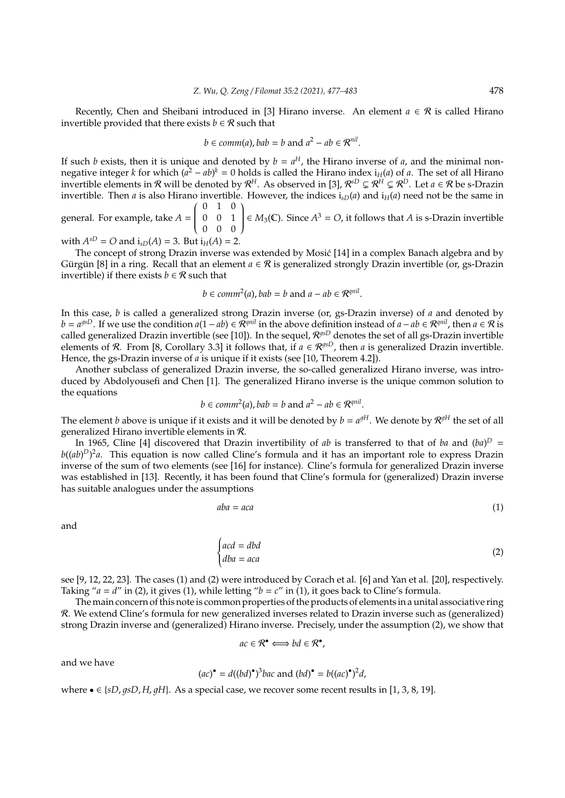Recently, Chen and Sheibani introduced in [3] Hirano inverse. An element  $a \in \mathcal{R}$  is called Hirano invertible provided that there exists *b*  $\in \mathcal{R}$  such that

$$
b \in comm(a)
$$
,  $bab = b$  and  $a^2 - ab \in \mathbb{R}^{nil}$ .

If such *b* exists, then it is unique and denoted by  $b = a^H$ , the Hirano inverse of *a*, and the minimal nonnegative integer *k* for which  $(a^2 - ab)^k = 0$  holds is called the Hirano index i<sub>H</sub>(*a*) of *a*. The set of all Hirano invertible elements in  $R$  will be denoted by  $R^H$ . As observed in [3],  $R^{sD} \subsetneq R^H \subsetneq R^D$ . Let  $a \in R$  be s-Drazin invertible. Then *a* is also Hirano invertible. However, the indices  $i_{sD}(a)$  and  $i_{H}(a)$  need not be the same in 0 1 0  $\lambda$ 

general. For example, take *A* =  $\overline{\mathcal{C}}$ 0 0 1 0 0 0  $\begin{array}{c} \end{array}$  $\in$  *M*<sub>3</sub>(**C**). Since *A*<sup>3</sup> = *O*, it follows that *A* is s-Drazin invertible

with  $A^{sD} = O$  and  $i_{sD}(A) = 3$ . But  $i_H(A) = 2$ .

The concept of strong Drazin inverse was extended by Mosic [14] in a complex Banach algebra and by ´ Gürgün [8] in a ring. Recall that an element  $a \in \mathcal{R}$  is generalized strongly Drazin invertible (or, gs-Drazin invertible) if there exists  $b \in \mathcal{R}$  such that

$$
b \in comm^2(a)
$$
,  $bab = b$  and  $a - ab \in \mathbb{R}^{qnil}$ .

In this case, *b* is called a generalized strong Drazin inverse (or, gs-Drazin inverse) of *a* and denoted by *b* =  $a^{gSD}$ . If we use the condition  $a(1-ab) \in \mathbb{R}^{qnil}$  in the above definition instead of  $a-ab \in \mathbb{R}^{qnil}$ , then  $a \in \mathbb{R}$  is called generalized Drazin invertible (see [10]). In the sequel,  $\mathcal{R}^{gSD}$  denotes the set of all gs-Drazin invertible elements of R. From [8, Corollary 3.3] it follows that, if  $a \in \mathcal{R}^{gsD}$ , then *a* is generalized Drazin invertible. Hence, the gs-Drazin inverse of *a* is unique if it exists (see [10, Theorem 4.2]).

Another subclass of generalized Drazin inverse, the so-called generalized Hirano inverse, was introduced by Abdolyousefi and Chen [1]. The generalized Hirano inverse is the unique common solution to the equations

$$
b \in comm^2(a)
$$
,  $bab = b$  and  $a^2 - ab \in \mathbb{R}^{qnil}$ .

The element *b* above is unique if it exists and it will be denoted by  $b = a^{gH}$ . We denote by  $\mathcal{R}^{gH}$  the set of all generalized Hirano invertible elements in R.

In 1965, Cline [4] discovered that Drazin invertibility of *ab* is transferred to that of *ba* and  $(ba)^D$  = *b*((*ab*) *D*) 2 *a*. This equation is now called Cline's formula and it has an important role to express Drazin inverse of the sum of two elements (see [16] for instance). Cline's formula for generalized Drazin inverse was established in [13]. Recently, it has been found that Cline's formula for (generalized) Drazin inverse has suitable analogues under the assumptions

$$
aba = aca \tag{1}
$$

and

$$
\begin{cases}\nacd = dbd \\
dba = aca\n\end{cases}
$$
\n(2)

see [9, 12, 22, 23]. The cases (1) and (2) were introduced by Corach et al. [6] and Yan et al. [20], respectively. Taking " $a = d$ " in (2), it gives (1), while letting " $b = c$ " in (1), it goes back to Cline's formula.

The main concern of this note is common properties of the products of elements in a unital associative ring R. We extend Cline's formula for new generalized inverses related to Drazin inverse such as (generalized) strong Drazin inverse and (generalized) Hirano inverse. Precisely, under the assumption (2), we show that

$$
ac \in \mathcal{R}^{\bullet} \Longleftrightarrow bd \in \mathcal{R}^{\bullet},
$$

and we have

$$
(ac)^{\bullet} = d((bd)^{\bullet})^3 bac
$$
 and  $(bd)^{\bullet} = b((ac)^{\bullet})^2 d$ ,

where  $\bullet \in \{sD, qsD, H, qH\}$ . As a special case, we recover some recent results in [1, 3, 8, 19].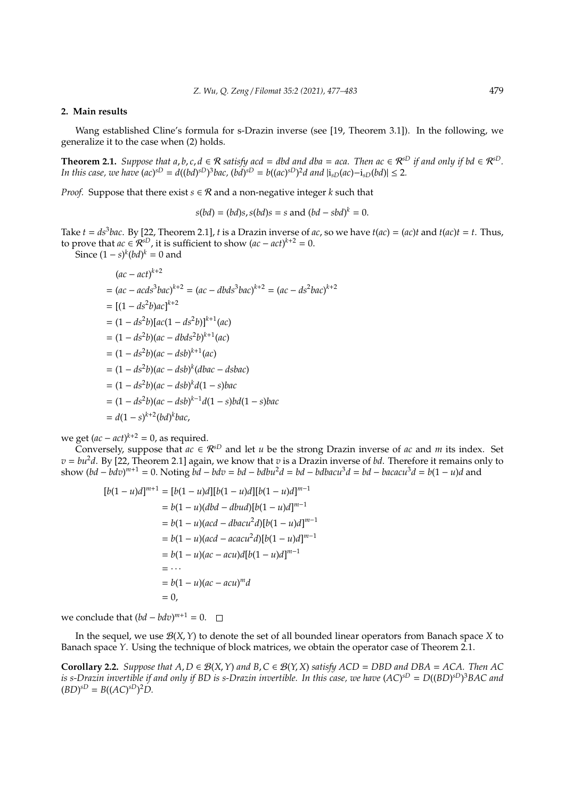#### **2. Main results**

Wang established Cline's formula for s-Drazin inverse (see [19, Theorem 3.1]). In the following, we generalize it to the case when (2) holds.

**Theorem 2.1.** *Suppose that a, b, c, d*  $\in \mathcal{R}$  *satisfy acd* = *dbd and dba* = *aca. Then ac*  $\in \mathcal{R}^{SD}$  *if and only if bd*  $\in \mathcal{R}^{SD}$ *.* In this case, we have  $(ac)^{sD} = d((bd)^{sD})^3bac$ ,  $(bd)^{sD} = b((ac)^{sD})^2d$  and  $|i_{sD}(ac) - i_{sD}(bd)| \leq 2$ .

*Proof.* Suppose that there exist  $s \in \mathcal{R}$  and a non-negative integer  $k$  such that

 $s(bd) = (bd)s, s(bd)s = s \text{ and } (bd - sbd)^k = 0.$ 

Take  $t = ds^3$ bac. By [22, Theorem 2.1], *t* is a Drazin inverse of ac, so we have  $t(ac) = (ac)t$  and  $t(ac)t = t$ . Thus, to prove that  $ac \in \mathcal{R}^{sD}$ , it is sufficient to show  $(ac - act)^{k+2} = 0$ .

Since  $(1 - s)^k (bd)^k = 0$  and

$$
(ac - act)^{k+2}
$$
  
=  $(ac - acds^3bac)^{k+2} = (ac - dbds^3bac)^{k+2} = (ac - ds^2bac)^{k+2}$   
=  $[(1 - ds^2b)ac]^{k+2}$   
=  $(1 - ds^2b)[ac(1 - ds^2b)]^{k+1}(ac)$   
=  $(1 - ds^2b)(ac - dbds^2b)^{k+1}(ac)$   
=  $(1 - ds^2b)(ac - dsb)^{k+1}(abc)$   
=  $(1 - ds^2b)(ac - dsb)^k(dbac - dsbac)$   
=  $(1 - ds^2b)(ac - dsb)^k d(1 - s)bac$   
=  $(1 - ds^2b)(ac - dsb)^{k-1}d(1 - s)bd(1 - s)bac$   
=  $d(1 - s)^{k+2}(bd)^k bac$ ,

we get  $(ac - act)^{k+2} = 0$ , as required.

Conversely, suppose that  $ac \in \mathcal{R}^{sD}$  and let *u* be the strong Drazin inverse of *ac* and *m* its index. Set  $v = bu^2d$ . By [22, Theorem 2.1] again, we know that *v* is a Drazin inverse of *bd*. Therefore it remains only to show  $(bd - bdv)^{m+1} = 0$ . Noting  $\overline{bd} - bdv = bd - bdbu^2d = bd - bdbacu^3d = bd - bacacu^3d = b(1 - u)d$  and

$$
[b(1-u)d]^{m+1} = [b(1-u)d][b(1-u)d][b(1-u)d]^{m-1}
$$
  
= b(1-u)(dbd - dbud)[b(1-u)d]^{m-1}  
= b(1-u)(acd - dbacu<sup>2</sup>d)[b(1-u)d]^{m-1}  
= b(1-u)(acd - acacu<sup>2</sup>d)[b(1-u)d]^{m-1}  
= b(1-u)(ac - acu)d[b(1-u)d]^{m-1}  
= \cdots  
= b(1-u)(ac - acu)<sup>m</sup>d  
= 0,

we conclude that  $(bd - b dv)^{m+1} = 0$ .

In the sequel, we use B(*X*, *Y*) to denote the set of all bounded linear operators from Banach space *X* to Banach space *Y*. Using the technique of block matrices, we obtain the operator case of Theorem 2.1.

**Corollary 2.2.** *Suppose that A*, *D* ∈ B(*X*,*Y*) *and B*,*C* ∈ B(*Y*, *X*) *satisfy ACD* = *DBD and DBA* = *ACA. Then AC is s-Drazin invertible if and only if BD is s-Drazin invertible. In this case, we have* (*AC*) *sD* = *D*((*BD*) *sD*) <sup>3</sup>*BAC and*  $(BD)^{sD} = B((AC)^{sD})^2D$ .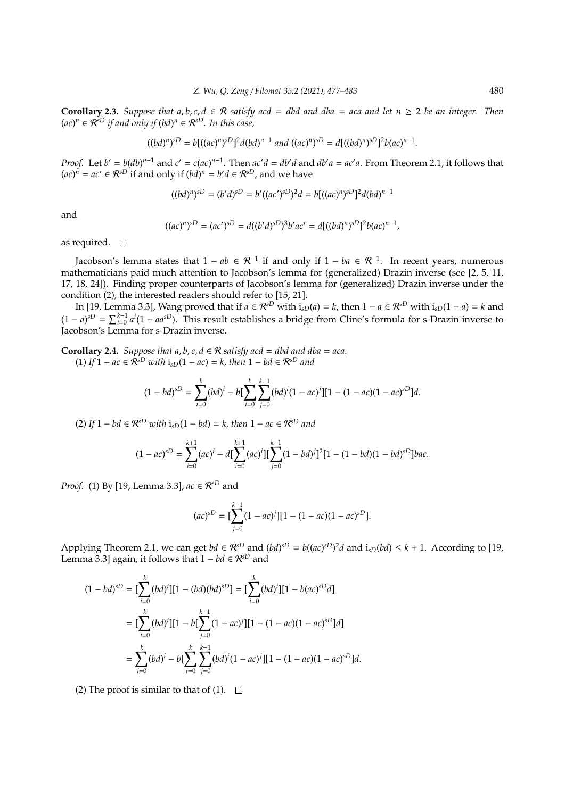**Corollary 2.3.** *Suppose that a, b, c, d*  $\in \mathcal{R}$  *satisfy acd* = *dbd and dba* = *aca and let n* > 2 *be an integer. Then* (*ac*) *<sup>n</sup>* ∈ R*sD if and only if* (*bd*) *<sup>n</sup>* ∈ R*sD. In this case,*

$$
((bd)^n)^{sD} = b[((ac)^n)^{sD}]^2d(bd)^{n-1} \ and \ ((ac)^n)^{sD} = d[((bd)^n)^{sD}]^2b(ac)^{n-1}.
$$

*Proof.* Let  $b' = b(db)^{n-1}$  and  $c' = c(ac)^{n-1}$ . Then  $ac'd = db'd$  and  $db'a = ac'a$ . From Theorem 2.1, it follows that  $(ac)^n$ <sup>*n*</sup> = *ac*<sup>*'*</sup> ∈  $\mathcal{R}^{sD}$  if and only if  $(bd)^n$  = *b*'*d* ∈  $\mathcal{R}^{sD}$ , and we have

$$
((bd)^n)^{sD} = (b'd)^{sD} = b'((ac')^{sD})^2d = b[((ac)^n)^{sD}]^2d(bd)^{n-1}
$$

and

$$
((ac)^n)^{sD} = (ac')^{sD} = d((b'd)^{sD})^3b'ac' = d[((bd)^n)^{sD}]^2b(ac)^{n-1},
$$

as required.  $\square$ 

Jacobson's lemma states that  $1 - ab \in \mathcal{R}^{-1}$  if and only if  $1 - ba \in \mathcal{R}^{-1}$ . In recent years, numerous mathematicians paid much attention to Jacobson's lemma for (generalized) Drazin inverse (see [2, 5, 11, 17, 18, 24]). Finding proper counterparts of Jacobson's lemma for (generalized) Drazin inverse under the condition (2), the interested readers should refer to [15, 21].

In [19, Lemma 3.3], Wang proved that if  $a \in \mathcal{R}^{sD}$  with  $i_{sD}(a) = k$ , then  $1 - a \in \mathcal{R}^{sD}$  with  $i_{sD}(1 - a) = k$  and  $(1 - a)^{sD} = \sum_{i=0}^{k-1} a^i (1 - aa^{sD})$ . This result establishes a bridge from Cline's formula for s-Drazin inverse to Jacobson's Lemma for s-Drazin inverse.

**Corollary 2.4.** *Suppose that a, b, c, d*  $\in \mathcal{R}$  *satisfy acd* = *dbd and dba* = *aca.* (1) *If*  $1 - ac \in \mathbb{R}^{sD}$  *with*  $i_{sD}(1 - ac) = k$ , then  $1 - bd \in \mathbb{R}^{sD}$  and

$$
(1-bd)^{sD} = \sum_{i=0}^{k} (bd)^{i} - b\left[\sum_{i=0}^{k} \sum_{j=0}^{k-1} (bd)^{i} (1-ac)^{j}\right][1-(1-ac)(1-ac)^{sD}]d.
$$

 $(2)$  *If* 1 − *bd* ∈  $\mathcal{R}^{sD}$  *with*  $i_{sD}(1 - bd) = k$ *, then* 1 − *ac* ∈  $\mathcal{R}^{sD}$  *and* 

$$
(1 - ac)^{sD} = \sum_{i=0}^{k+1} (ac)^i - d[\sum_{i=0}^{k+1} (ac)^i][\sum_{j=0}^{k-1} (1 - bd)^j]^2 [1 - (1 - bd)(1 - bd)^{sD}]bac.
$$

*Proof.* (1) By [19, Lemma 3.3], *ac* ∈  $\mathcal{R}^{sD}$  and

$$
(ac)^{sD} = \left[\sum_{j=0}^{k-1} (1 - ac)^j\right][1 - (1 - ac)(1 - ac)^{sD}].
$$

Applying Theorem 2.1, we can get  $bd \in \mathcal{R}^{sD}$  and  $(bd)^{sD} = b((ac)^{sD})^2d$  and  $i_{sD}(bd) \leq k + 1$ . According to [19, Lemma 3.3] again, it follows that  $1 - bd \in \mathcal{R}^{sD}$  and

$$
(1 - bd)^{sD} = \left[\sum_{i=0}^{k} (bd)^{i}\right][1 - (bd)(bd)^{sD}] = \left[\sum_{i=0}^{k} (bd)^{i}\right][1 - b(ac)^{sD}d]
$$

$$
= \left[\sum_{i=0}^{k} (bd)^{i}\right][1 - b\left[\sum_{j=0}^{k-1} (1 - ac)^{j}\right][1 - (1 - ac)(1 - ac)^{sD}]d]
$$

$$
= \sum_{i=0}^{k} (bd)^{i} - b\left[\sum_{i=0}^{k} \sum_{j=0}^{k-1} (bd)^{i}(1 - ac)^{j}\right][1 - (1 - ac)(1 - ac)^{sD}]d.
$$

(2) The proof is similar to that of (1).  $\Box$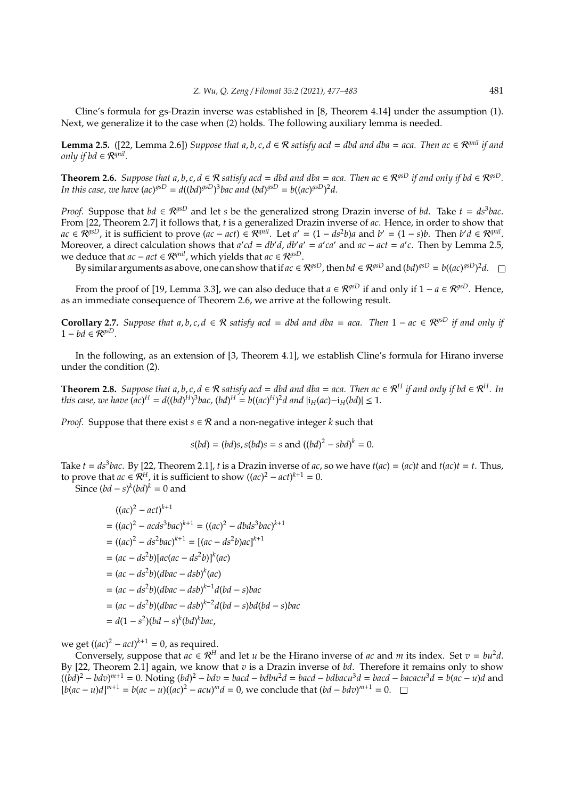Cline's formula for gs-Drazin inverse was established in [8, Theorem 4.14] under the assumption (1). Next, we generalize it to the case when (2) holds. The following auxiliary lemma is needed.

**Lemma 2.5.** ([22, Lemma 2.6]) *Suppose that a, b, c, d* ∈ R *satisfy acd* = *dbd and dba* = *aca. Then ac* ∈ R<sup>*qnil</sup> if and*</sup> *only if bd* ∈ R*qnil .*

**Theorem 2.6.** *Suppose that a, b, c, d*  $\in \mathbb{R}$  *satisfy acd* = *dbd and dba* = *aca. Then ac*  $\in \mathbb{R}^{gSD}$  *if and only if bd*  $\in \mathbb{R}^{gSD}$ *. In this case, we have*  $(ac)^{g\circ D} = d((bd)^{g\circ D})^3$ *bac and*  $(bd)^{g\circ D} = b((ac)^{g\circ D})^2d$ *.* 

*Proof.* Suppose that  $bd \in \mathcal{R}^{gSD}$  and let *s* be the generalized strong Drazin inverse of *bd*. Take  $t = ds^3bac$ . From [22, Theorem 2.7] it follows that, *t* is a generalized Drazin inverse of *ac*. Hence, in order to show that  $ac \in \mathcal{R}^{gsD}$ , it is sufficient to prove  $(ac - act) \in \mathcal{R}^{qnil}$ . Let  $a' = (1 - ds^2b)a$  and  $b' = (1 - s)b$ . Then  $b'd \in \mathcal{R}^{qnil}$ . Moreover, a direct calculation shows that  $a'cd = db'd$ ,  $db'a' = a'ca'$  and  $ac - act = a'c$ . Then by Lemma 2.5, we deduce that  $ac - act \in \mathcal{R}^{qnil}$ , which yields that  $ac \in \mathcal{R}^{gSD}$ .

By similar arguments as above, one can show that if  $ac \in \mathcal{R}^{gsD}$ , then  $bd \in \mathcal{R}^{gsD}$  and  $(bd)^{gsD} = b((ac)^{gsD})^2d$ .

From the proof of [19, Lemma 3.3], we can also deduce that  $a \in \mathcal{R}^{gSD}$  if and only if  $1 - a \in \mathcal{R}^{gSD}$ . Hence, as an immediate consequence of Theorem 2.6, we arrive at the following result.

**Corollary 2.7.** Suppose that  $a, b, c, d \in \mathbb{R}$  satisfy acd = dbd and dba = aca. Then 1 − ac  $\in \mathbb{R}^{g \circ D}$  if and only if  $1 - bd \in \mathcal{R}^{gSD}$ .

In the following, as an extension of [3, Theorem 4.1], we establish Cline's formula for Hirano inverse under the condition (2).

**Theorem 2.8.** *Suppose that a, b, c, d*  $\in \mathcal{R}$  *satisfy acd* = *dbd and dba* = *aca. Then ac*  $\in \mathcal{R}$ <sup>*H</sup> if and only if bd*  $\in \mathcal{R}$ <sup>*H*</sup>*. In*</sup> *this case, we have*  $(ac)^{H} = d((bd)^{H})^{3}$ *bac,*  $(bd)^{H} = b((ac)^{H})^{2}d$  and  $|i_{H}(ac) - i_{H}(bd)| \leq 1$ *.* 

*Proof.* Suppose that there exist  $s \in \mathcal{R}$  and a non-negative integer k such that

$$
s(bd) = (bd)s, s(bd)s = s \text{ and } ((bd)^2 - sbd)^k = 0.
$$

Take  $t = ds^3$ bac. By [22, Theorem 2.1], *t* is a Drazin inverse of ac, so we have  $t(ac) = (ac)t$  and  $t(ac)t = t$ . Thus, to prove that  $ac \in \mathcal{R}^H$ , it is sufficient to show  $((ac)^2 - act)^{k+1} = 0$ .

Since  $(bd - s)^k (bd)^k = 0$  and

$$
((ac)^2 - act)^{k+1}
$$
  
=  $((ac)^2 - acds^3bac)^{k+1} = ((ac)^2 - dbds^3bac)^{k+1}$   
=  $((ac)^2 - ds^2bac)^{k+1} = [(ac - ds^2b)ac]^{k+1}$   
=  $(ac - ds^2b)[ac(ac - ds^2b)]^k(ac)$   
=  $(ac - ds^2b)(dbac - dsb)^{k-1}d(bd - s)bac$   
=  $(ac - ds^2b)(dbac - dsb)^{k-2}d(bd - s)bd(bd - s)bac$   
=  $d(1 - s^2)(bd - s)^k(bd)^kbac$ ,

we get  $((ac)^2 - act)^{k+1} = 0$ , as required.

Conversely, suppose that  $ac \in \mathbb{R}^H$  and let *u* be the Hirano inverse of *ac* and *m* its index. Set  $v = bu^2d$ . By [22, Theorem 2.1] again, we know that *v* is a Drazin inverse of *bd*. Therefore it remains only to show  $((bd)^2 - bdv)^{m+1} = 0$ . Noting  $(bd)^2 - bdv = bacd - bdbu^2d = bacd - bdbacu^3d = bacd - bacacu^3d = b(ac - u)d$  and  $[b(ac - u)d]^{m+1} = b(ac - u)((ac)^2 - acu)^m d = 0$ , we conclude that  $(bd - bdv)^{m+1} = 0$ .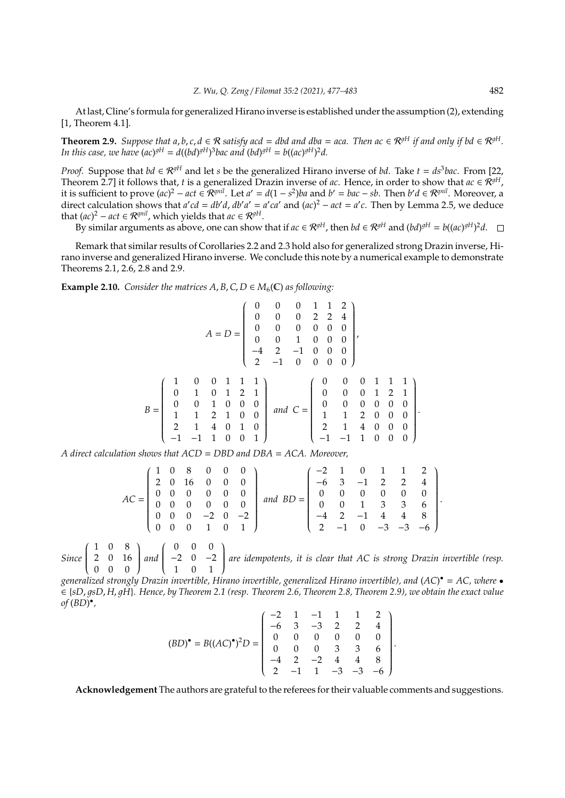At last, Cline's formula for generalized Hirano inverse is established under the assumption (2), extending [1, Theorem 4.1].

**Theorem 2.9.** *Suppose that a, b, c, d*  $\in \mathcal{R}$  *satisfy acd* = *dbd and dba* = *aca. Then ac*  $\in \mathcal{R}^{gH}$  *if and only if bd*  $\in \mathcal{R}^{gH}$ *. In this case, we have*  $(ac)^{gH} = d((bd)^{gH})^3$ *bac and*  $(bd)^{gH} = b((ac)^{gH})^2d$ .

*Proof.* Suppose that *bd*  $\in \mathcal{R}^{gH}$  and let *s* be the generalized Hirano inverse of *bd*. Take  $t = ds^3$ *bac*. From [22, Theorem 2.7] it follows that, *t* is a generalized Drazin inverse of *ac*. Hence, in order to show that  $ac \in \mathcal{R}^{gH}$ , *it* is sufficient to prove  $(ac)^2 - act \in \mathbb{R}^{qnil}$ . Let  $a' = d(1 - s^2)ba$  and  $b' = bac - sb$ . Then  $b'd \in \mathbb{R}^{qnil}$ . Moreover, a direct calculation shows that  $a'cd = db'd$ ,  $db'a' = a'ca'$  and  $(ac)^2 - act = a'c$ . Then by Lemma 2.5, we deduce that  $(ac)^2 - act \in \mathcal{R}^{qnil}$ , which yields that  $ac \in \mathcal{R}^{gH}$ .

By similar arguments as above, one can show that if  $ac \in \mathcal{R}^{gH}$ , then  $bd \in \mathcal{R}^{gH}$  and  $(bd)^{gH} = b((ac)^{gH})^2d$ .

Remark that similar results of Corollaries 2.2 and 2.3 hold also for generalized strong Drazin inverse, Hirano inverse and generalized Hirano inverse. We conclude this note by a numerical example to demonstrate Theorems 2.1, 2.6, 2.8 and 2.9.

**Example 2.10.** *Consider the matrices A, B, C, D*  $\in M_6(\mathbb{C})$  *as following:* 

$$
A = D = \begin{pmatrix} 0 & 0 & 0 & 1 & 1 & 2 \\ 0 & 0 & 0 & 0 & 2 & 2 & 4 \\ 0 & 0 & 0 & 0 & 0 & 0 \\ 0 & 0 & 1 & 0 & 0 & 0 \\ -4 & 2 & -1 & 0 & 0 & 0 \\ 2 & -1 & 0 & 0 & 0 & 0 \end{pmatrix},
$$
  
\n
$$
B = \begin{pmatrix} 1 & 0 & 0 & 1 & 1 & 1 \\ 0 & 1 & 0 & 1 & 2 & 1 \\ 0 & 0 & 1 & 0 & 0 & 0 \\ 1 & 1 & 2 & 1 & 0 & 0 \\ 2 & 1 & 4 & 0 & 1 & 0 \\ -1 & -1 & 1 & 0 & 0 & 1 \end{pmatrix} \text{ and } C = \begin{pmatrix} 0 & 0 & 0 & 1 & 1 & 1 \\ 0 & 0 & 0 & 1 & 2 & 1 \\ 0 & 0 & 0 & 0 & 0 & 0 \\ 1 & 1 & 2 & 0 & 0 & 0 \\ 2 & 1 & 4 & 0 & 0 & 0 \\ -1 & -1 & 1 & 0 & 0 & 0 \end{pmatrix}.
$$

*A direct calculation shows that ACD* = *DBD and DBA* = *ACA. Moreover,*

$$
AC = \begin{pmatrix} 1 & 0 & 8 & 0 & 0 & 0 \\ 2 & 0 & 16 & 0 & 0 & 0 \\ 0 & 0 & 0 & 0 & 0 & 0 \\ 0 & 0 & 0 & 0 & 0 & 0 \\ 0 & 0 & 0 & -2 & 0 & -2 \\ 0 & 0 & 0 & 1 & 0 & 1 \end{pmatrix} and BD = \begin{pmatrix} -2 & 1 & 0 & 1 & 1 & 2 \\ -6 & 3 & -1 & 2 & 2 & 4 \\ 0 & 0 & 0 & 0 & 0 & 0 \\ 0 & 0 & 1 & 3 & 3 & 6 \\ -4 & 2 & -1 & 4 & 4 & 8 \\ 2 & -1 & 0 & -3 & -3 & -6 \end{pmatrix}.
$$

*Since* 1 0 8  $\overline{\mathcal{C}}$ 2 0 16 0 0 0 Í  $\begin{array}{c} \end{array}$ *and* 0 0 0  $\overline{\mathcal{C}}$ −2 0 −2 1 0 1  $\lambda$  $\begin{array}{c} \end{array}$ *are idempotents, it is clear that AC is strong Drazin invertible (resp.*

*generalized strongly Drazin invertible, Hirano invertible, generalized Hirano invertible), and* (*AC*) • = *AC, where* • ∈ {*sD*, 1*sD*, *H*, 1*H*}*. Hence, by Theorem 2.1 (resp. Theorem 2.6, Theorem 2.8, Theorem 2.9), we obtain the exact value of* (*BD*) • *,*

$$
(BD)^{\bullet} = B((AC)^{\bullet})^2 D = \begin{pmatrix} -2 & 1 & -1 & 1 & 1 & 2 \\ -6 & 3 & -3 & 2 & 2 & 4 \\ 0 & 0 & 0 & 0 & 0 & 0 \\ 0 & 0 & 0 & 3 & 3 & 6 \\ -4 & 2 & -2 & 4 & 4 & 8 \\ 2 & -1 & 1 & -3 & -3 & -6 \end{pmatrix}.
$$

**Acknowledgement** The authors are grateful to the referees for their valuable comments and suggestions.